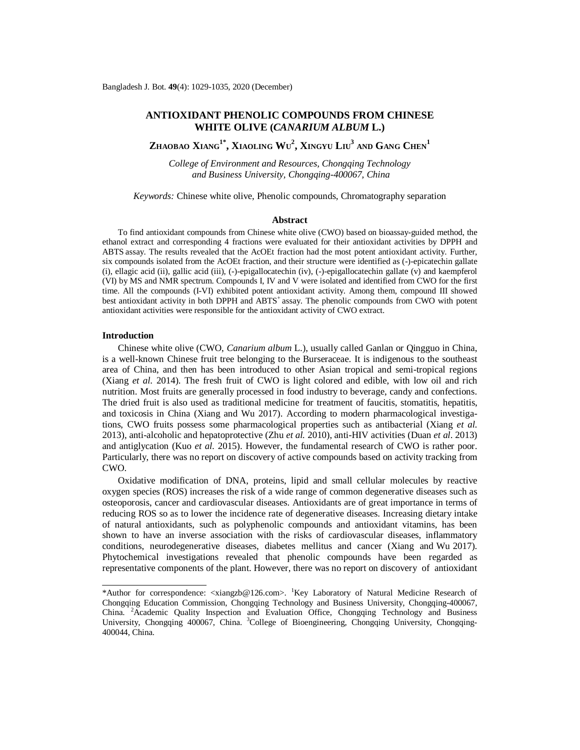# **ANTIOXIDANT PHENOLIC COMPOUNDS FROM CHINESE WHITE OLIVE (***CANARIUM ALBUM* **L.)**

**ZHAOBAO XIANG1\* , XIAOLING WU 2 , XINGYU LIU<sup>3</sup> AND GANG CHEN<sup>1</sup>**

*College of Environment and Resources, Chongqing Technology and Business University, Chongqing-400067, China*

*Keywords:* Chinese white olive, Phenolic compounds, Chromatography separation

# **Abstract**

To find antioxidant compounds from Chinese white olive (CWO) based on bioassay-guided method, the ethanol extract and corresponding 4 fractions were evaluated for their antioxidant activities by DPPH and ABTS assay. The results revealed that the AcOEt fraction had the most potent antioxidant activity. Further, six compounds isolated from the AcOEt fraction, and their structure were identified as (-)-epicatechin gallate (i), ellagic acid (ii), gallic acid (iii), (-)-epigallocatechin (iv), (-)-epigallocatechin gallate (v) and kaempferol (VI) by MS and NMR spectrum. Compounds I, IV and V were isolated and identified from CWO for the first time. All the compounds (I-VI) exhibited potent antioxidant activity. Among them, compound III showed best antioxidant activity in both DPPH and ABTS<sup>+</sup> assay. The phenolic compounds from CWO with potent antioxidant activities were responsible for the antioxidant activity of CWO extract.

#### **Introduction**

Chinese white olive (CWO, *Canarium album* L.), usually called Ganlan or Qingguo in China, is a well-known Chinese fruit tree belonging to the Burseraceae. It is indigenous to the southeast area of China, and then has been introduced to other Asian tropical and semi-tropical regions (Xiang *et al*. 2014). The fresh fruit of CWO is light colored and edible, with low oil and rich nutrition. Most fruits are generally processed in food industry to beverage, candy and confections. The dried fruit is also used as traditional medicine for treatment of faucitis, stomatitis, hepatitis, and toxicosis in China (Xiang and Wu 2017). According to modern pharmacological investigations, CWO fruits possess some pharmacological properties such as antibacterial (Xiang *et al.* 2013), anti-alcoholic and hepatoprotective (Zhu *et al.* 2010), anti-HIV activities (Duan *et al*. 2013) and antiglycation (Kuo *et al.* 2015). However, the fundamental research of CWO is rather poor. Particularly, there was no report on discovery of active compounds based on activity tracking from CWO.

Oxidative modification of DNA, proteins, lipid and small cellular molecules by reactive oxygen species (ROS) increases the risk of a wide range of common degenerative diseases such as osteoporosis, cancer and cardiovascular diseases. Antioxidants are of great importance in terms of reducing ROS so as to lower the incidence rate of degenerative diseases. Increasing dietary intake of natural antioxidants, such as polyphenolic compounds and antioxidant vitamins, has been shown to have an inverse association with the risks of cardiovascular diseases, inflammatory conditions, neurodegenerative diseases, diabetes mellitus and cancer (Xiang and Wu 2017). Phytochemical investigations revealed that phenolic compounds have been regarded as representative components of the plant. However, there was no report on discovery of antioxidant

<sup>\*</sup>Author for correspondence:  $\langle x \rangle = 126$ .com $>$ . <sup>1</sup>Key Laboratory of Natural Medicine Research of Chongqing Education Commission, Chongqing Technology and Business University, Chongqing-400067, China. <sup>2</sup>Academic Quality Inspection and Evaluation Office, Chongqing Technology and Business University, Chongqing 400067, China. <sup>3</sup>College of Bioengineering, Chongqing University, Chongqing-400044, China.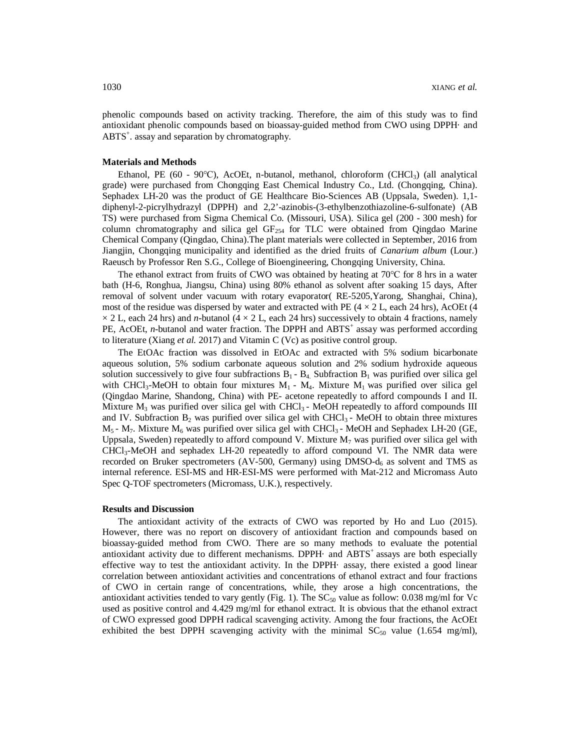phenolic compounds based on activity tracking. Therefore, the aim of this study was to find antioxidant phenolic compounds based on bioassay-guided method from CWO using DPPH· and ABTS<sup>+</sup>. assay and separation by chromatography.

# **Materials and Methods**

Ethanol, PE (60 - 90°C), AcOEt, n-butanol, methanol, chloroform (CHCl<sub>3</sub>) (all analytical grade) were purchased from Chongqing East Chemical Industry Co., Ltd. (Chongqing, China). Sephadex LH-20 was the product of GE Healthcare Bio-Sciences AB (Uppsala, Sweden). 1,1 diphenyl-2-picrylhydrazyl (DPPH) and 2,2'-azinobis-(3-ethylbenzothiazoline-6-sulfonate) (AB TS) were purchased from Sigma Chemical Co. (Missouri, USA). Silica gel (200 - 300 mesh) for column chromatography and silica gel  $GF<sub>254</sub>$  for TLC were obtained from Qingdao Marine Chemical Company (Qingdao, China).The plant materials were collected in September, 2016 from Jiangjin, Chongqing municipality and identified as the dried fruits of *Canarium album* (Lour.) Raeusch by Professor Ren S.G., College of Bioengineering, Chongqing University, China.

The ethanol extract from fruits of CWO was obtained by heating at 70℃ for 8 hrs in a water bath (H-6, Ronghua, Jiangsu, China) using 80% ethanol as solvent after soaking 15 days, After removal of solvent under vacuum with rotary evaporator( RE-5205,Yarong, Shanghai, China), most of the residue was dispersed by water and extracted with PE  $(4 \times 2)$  L, each 24 hrs), AcOEt (4  $\times$  2 L, each 24 hrs) and *n*-butanol (4  $\times$  2 L, each 24 hrs) successively to obtain 4 fractions, namely PE, AcOEt, *n*-butanol and water fraction. The DPPH and ABTS<sup>+</sup> assay was performed according to literature (Xiang *et al.* 2017) and Vitamin C (Vc) as positive control group.

The EtOAc fraction was dissolved in EtOAc and extracted with 5% sodium bicarbonate aqueous solution, 5% sodium carbonate aqueous solution and 2% sodium hydroxide aqueous solution successively to give four subfractions  $B_1 - B_4$ . Subfraction  $B_1$  was purified over silica gel with CHCl<sub>3</sub>-MeOH to obtain four mixtures  $M_1$  -  $M_4$ . Mixture  $M_1$  was purified over silica gel (Qingdao Marine, Shandong, China) with PE- acetone repeatedly to afford compounds I and II. Mixture  $M_3$  was purified over silica gel with CHCl<sub>3</sub> - MeOH repeatedly to afford compounds III and IV. Subfraction  $B_2$  was purified over silica gel with CHCl<sub>3</sub> - MeOH to obtain three mixtures  $M_5$  -  $M_7$ . Mixture  $M_6$  was purified over silica gel with CHCl<sub>3</sub> - MeOH and Sephadex LH-20 (GE, Uppsala, Sweden) repeatedly to afford compound V. Mixture  $M_7$  was purified over silica gel with CHCl3-MeOH and sephadex LH-20 repeatedly to afford compound VI. The NMR data were recorded on Bruker spectrometers (AV-500, Germany) using  $DMSO-d<sub>6</sub>$  as solvent and TMS as internal reference. ESI-MS and HR-ESI-MS were performed with Mat-212 and Micromass Auto Spec Q-TOF spectrometers (Micromass, U.K.), respectively.

## **Results and Discussion**

The antioxidant activity of the extracts of CWO was reported by Ho and Luo (2015). However, there was no report on discovery of antioxidant fraction and compounds based on bioassay-guided method from CWO. There are so many methods to evaluate the potential antioxidant activity due to different mechanisms. DPPH and ABTS<sup>+</sup> assays are both especially effective way to test the antioxidant activity. In the DPPH· assay, there existed a good linear correlation between antioxidant activities and concentrations of ethanol extract and four fractions of CWO in certain range of concentrations, while, they arose a high concentrations, the antioxidant activities tended to vary gently (Fig. 1). The  $SC_{50}$  value as follow: 0.038 mg/ml for Vc used as positive control and 4.429 mg/ml for ethanol extract. It is obvious that the ethanol extract of CWO expressed good DPPH radical scavenging activity. Among the four fractions, the AcOEt exhibited the best DPPH scavenging activity with the minimal  $SC_{50}$  value (1.654 mg/ml),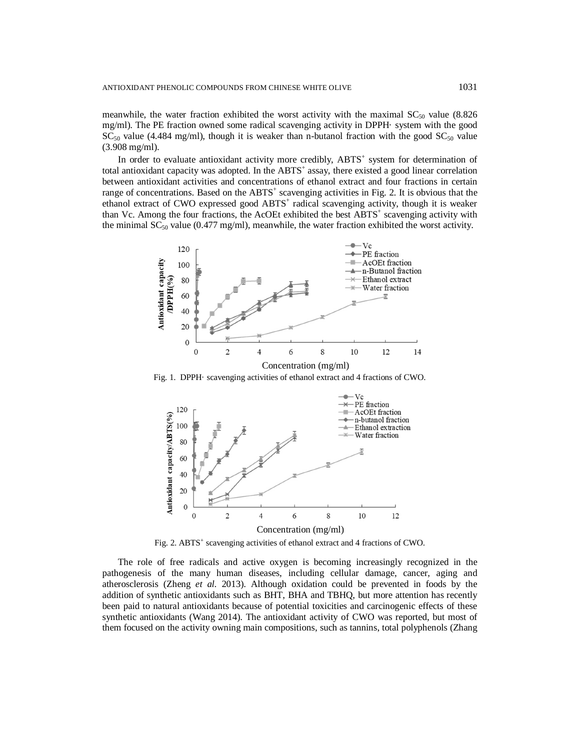meanwhile, the water fraction exhibited the worst activity with the maximal  $SC_{50}$  value (8.826) mg/ml). The PE fraction owned some radical scavenging activity in DPPH· system with the good  $SC_{50}$  value (4.484 mg/ml), though it is weaker than n-butanol fraction with the good  $SC_{50}$  value (3.908 mg/ml).

In order to evaluate antioxidant activity more credibly, ABTS<sup>+</sup> system for determination of total antioxidant capacity was adopted. In the ABTS<sup>+</sup> assay, there existed a good linear correlation between antioxidant activities and concentrations of ethanol extract and four fractions in certain range of concentrations. Based on the ABTS<sup>+</sup> scavenging activities in Fig. 2. It is obvious that the ethanol extract of CWO expressed good ABTS<sup>+</sup> radical scavenging activity, though it is weaker than Vc. Among the four fractions, the AcOEt exhibited the best ABTS<sup>+</sup> scavenging activity with the minimal  $SC_{50}$  value (0.477 mg/ml), meanwhile, the water fraction exhibited the worst activity.



Fig. 1. DPPH· scavenging activities of ethanol extract and 4 fractions of CWO.



Fig. 2. ABTS<sup>+</sup> scavenging activities of ethanol extract and 4 fractions of CWO.

The role of free radicals and active oxygen is becoming increasingly recognized in the pathogenesis of the many human diseases, including cellular damage, cancer, aging and atherosclerosis (Zheng *et al.* 2013). Although oxidation could be prevented in foods by the addition of synthetic antioxidants such as BHT, BHA and TBHQ, but more attention has recently been paid to natural antioxidants because of potential toxicities and carcinogenic effects of these synthetic antioxidants (Wang 2014). The antioxidant activity of CWO was reported, but most of them focused on the activity owning main compositions, such as tannins, total polyphenols (Zhang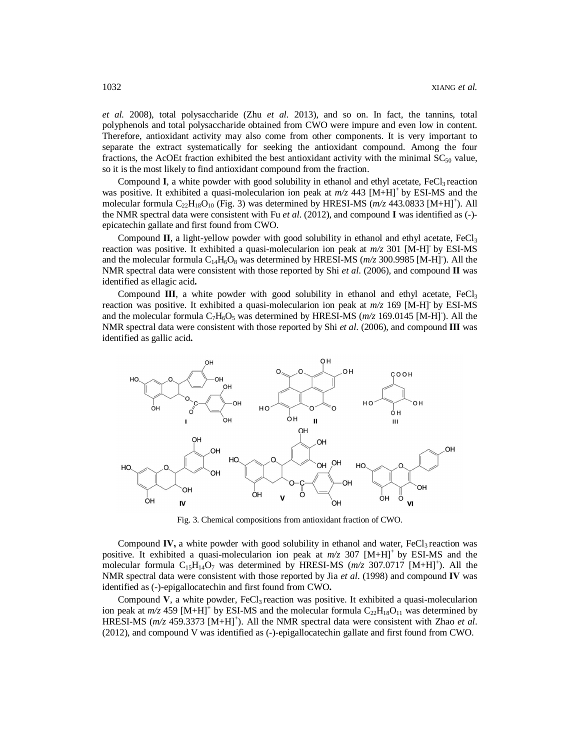*et al.* 2008), total polysaccharide (Zhu *et al.* 2013), and so on. In fact, the tannins, total polyphenols and total polysaccharide obtained from CWO were impure and even low in content. Therefore, antioxidant activity may also come from other components. It is very important to separate the extract systematically for seeking the antioxidant compound. Among the four fractions, the AcOEt fraction exhibited the best antioxidant activity with the minimal  $SC_{50}$  value, so it is the most likely to find antioxidant compound from the fraction.

Compound **I**, a white powder with good solubility in ethanol and ethyl acetate, FeCl<sub>3</sub> reaction was positive. It exhibited a quasi-molecularion ion peak at  $m/z$  443  $[M+H]^+$  by ESI-MS and the molecular formula  $C_{22}H_{18}O_{10}$  (Fig. 3) was determined by HRESI-MS ( $m/z$  443.0833 [M+H]<sup>+</sup>). All the NMR spectral data were consistent with Fu *et al*. (2012), and compound **Ⅰ** was identified as (-) epicatechin gallate and first found from CWO.

Compound **II**, a light-yellow powder with good solubility in ethanol and ethyl acetate, FeCl<sub>3</sub> reaction was positive. It exhibited a quasi-molecularion ion peak at *m/z* 301 [M-H]- by ESI-MS and the molecular formula  $C_{14}H_6O_8$  was determined by HRESI-MS ( $m/z$  300.9985 [M-H]). All the NMR spectral data were consistent with those reported by Shi *et al*. (2006), and compound **Ⅱ** was identified as ellagic acid**.** 

Compound **III**, a white powder with good solubility in ethanol and ethyl acetate,  $FeCl<sub>3</sub>$ reaction was positive. It exhibited a quasi-molecularion ion peak at *m/z* 169 [M-H]- by ESI-MS and the molecular formula  $C_7H_6O_5$  was determined by HRESI-MS ( $m/z$  169.0145 [M-H]). All the NMR spectral data were consistent with those reported by Shi *et al*. (2006), and compound **Ⅲ** was identified as gallic acid**.** 



Fig. 3. Chemical compositions from antioxidant fraction of CWO.

Compound IV, a white powder with good solubility in ethanol and water,  $FeCl<sub>3</sub>$  reaction was positive. It exhibited a quasi-molecularion ion peak at  $m/z$  307  $[M+H]$ <sup>+</sup> by ESI-MS and the molecular formula  $C_{15}H_{14}O_7$  was determined by HRESI-MS ( $m/z$  307.0717 [M+H]<sup>+</sup>). All the NMR spectral data were consistent with those reported by Jia *et al*. (1998) and compound **Ⅳ** was identified as (-)-epigallocatechin and first found from CWO**.**

Compound **V**, a white powder, FeCl<sub>3</sub> reaction was positive. It exhibited a quasi-molecularion ion peak at  $m/z$  459 [M+H]<sup>+</sup> by ESI-MS and the molecular formula  $C_{22}H_{18}O_{11}$  was determined by HRESI-MS ( $m/z$  459.3373 [M+H]<sup>+</sup>). All the NMR spectral data were consistent with Zhao *et al*. (2012), and compound V was identified as (-)-epigallocatechin gallate and first found from CWO.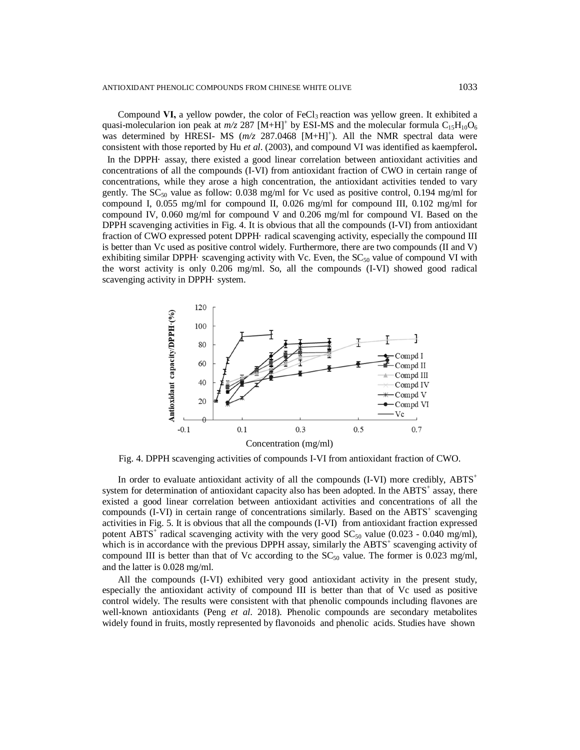Compound **VI**, a yellow powder, the color of FeCl<sub>3</sub> reaction was yellow green. It exhibited a quasi-molecularion ion peak at  $m/z$  287 [M+H]<sup>+</sup> by ESI-MS and the molecular formula C<sub>15</sub>H<sub>10</sub>O<sub>6</sub> was determined by HRESI- MS ( $m/z$  287.0468 [M+H]<sup>+</sup>). All the NMR spectral data were consistent with those reported by Hu *et al*. (2003), and compound Ⅵ was identified as kaempferol**.**  In the DPPH· assay, there existed a good linear correlation between antioxidant activities and concentrations of all the compounds (I-VI) from antioxidant fraction of CWO in certain range of concentrations, while they arose a high concentration, the antioxidant activities tended to vary gently. The  $SC_{50}$  value as follow: 0.038 mg/ml for Vc used as positive control, 0.194 mg/ml for compound I, 0.055 mg/ml for compound II, 0.026 mg/ml for compound III, 0.102 mg/ml for compound IV, 0.060 mg/ml for compound V and 0.206 mg/ml for compound VI. Based on the DPPH scavenging activities in Fig. 4. It is obvious that all the compounds (I-VI) from antioxidant fraction of CWO expressed potent DPPH· radical scavenging activity, especially the compound III is better than Vc used as positive control widely. Furthermore, there are two compounds (II and V) exhibiting similar DPPH· scavenging activity with Vc. Even, the  $SC_{50}$  value of compound VI with the worst activity is only 0.206 mg/ml. So, all the compounds (I-VI) showed good radical scavenging activity in DPPH· system.



Fig. 4. DPPH scavenging activities of compounds I-VI from antioxidant fraction of CWO.

In order to evaluate antioxidant activity of all the compounds  $(I-VI)$  more credibly,  $ABTS^+$ system for determination of antioxidant capacity also has been adopted. In the ABTS<sup>+</sup> assay, there existed a good linear correlation between antioxidant activities and concentrations of all the compounds  $(I-VI)$  in certain range of concentrations similarly. Based on the ABTS<sup>+</sup> scavenging activities in Fig. 5. It is obvious that all the compounds (I-VI) from antioxidant fraction expressed potent ABTS<sup>+</sup> radical scavenging activity with the very good  $SC_{50}$  value (0.023 - 0.040 mg/ml), which is in accordance with the previous DPPH assay, similarly the  $ABTS<sup>+</sup>$  scavenging activity of compound III is better than that of Vc according to the  $SC_{50}$  value. The former is 0.023 mg/ml, and the latter is 0.028 mg/ml.

All the compounds (I-VI) exhibited very good antioxidant activity in the present study, especially the antioxidant activity of compound III is better than that of Vc used as positive control widely. The results were consistent with that phenolic compounds including flavones are well-known antioxidants (Peng *et al*. 2018). Phenolic compounds are secondary metabolites widely found in fruits, mostly represented by flavonoids and phenolic acids. Studies have shown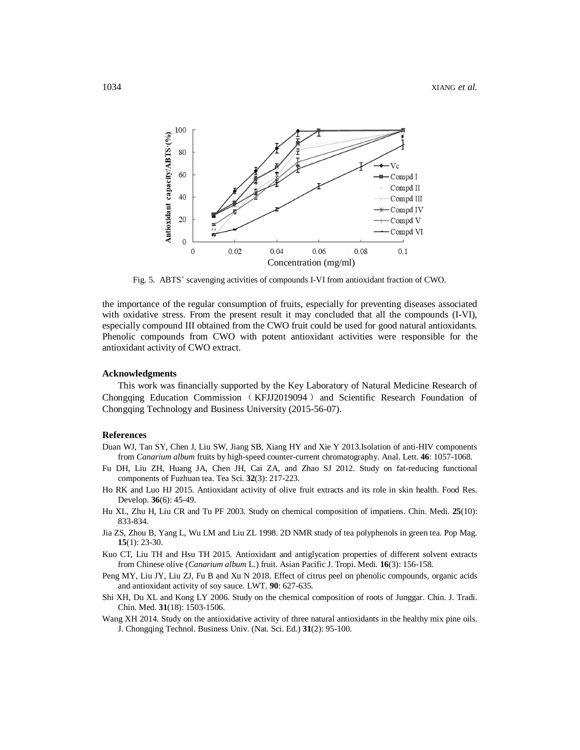

Fig. 5. ABTS<sup>+</sup> scavenging activities of compounds I-VI from antioxidant fraction of CWO.

the importance of the regular consumption of fruits, especially for preventing diseases associated with oxidative stress. From the present result it may concluded that all the compounds (I-VI), especially compound III obtained from the CWO fruit could be used for good natural antioxidants. Phenolic compounds from CWO with potent antioxidant activities were responsible for the antioxidant activity of CWO extract.

#### **Acknowledgments**

This work was financially supported by the Key Laboratory of Natural Medicine Research of Chongqing Education Commission (KFJJ2019094) and Scientific Research Foundation of Chongqing Technology and Business University (2015-56-07).

#### **References**

- Duan WJ, Tan SY, Chen J, Liu SW, Jiang SB, Xiang HY and Xie Y 2013.Isolation of anti-HIV components from *Canarium album* fruits by high-speed counter-current chromatography. Anal. Lett. **46**: 1057-1068.
- Fu DH, Liu ZH, Huang JA, Chen JH, Cai ZA, and Zhao SJ 2012. Study on fat-reducing functional components of Fuzhuan tea. Tea Sci. **32**(3): 217-223.
- Ho RK and Luo HJ 2015. Antioxidant activity of olive fruit extracts and its role in skin health. Food Res. Develop. **36**(6): 45-49.
- Hu XL, Zhu H, Liu CR and Tu PF 2003. Study on chemical composition of impatiens. Chin. Medi. **25**(10): 833-834.
- Jia ZS, Zhou B, Yang L, Wu LM and Liu ZL 1998. 2D NMR study of tea polyphenols in green tea. Pop Mag. **15**(1): 23-30.
- Kuo CT, Liu TH and Hsu TH 2015. Antioxidant and antiglycation properties of different solvent extracts from Chinese olive (*Canarium album* L.) fruit. Asian Pacific J. Tropi. Medi*.* **16**(3): 156-158.
- Peng MY, Liu JY, Liu ZJ, Fu B and Xu N 2018. Effect of citrus peel on phenolic compounds, organic acids and antioxidant activity of soy sauce. LWT. **90**: 627-635.
- Shi XH, Du XL and Kong LY 2006. Study on the chemical composition of roots of Junggar. Chin. J. Tradi. Chin. Med. **31**(18): 1503-1506.
- Wang XH 2014. Study on the antioxidative activity of three natural antioxidants in the healthy mix pine oils. J. Chongqing Technol. Business Univ. (Nat. Sci. Ed.) **31**(2): 95-100.